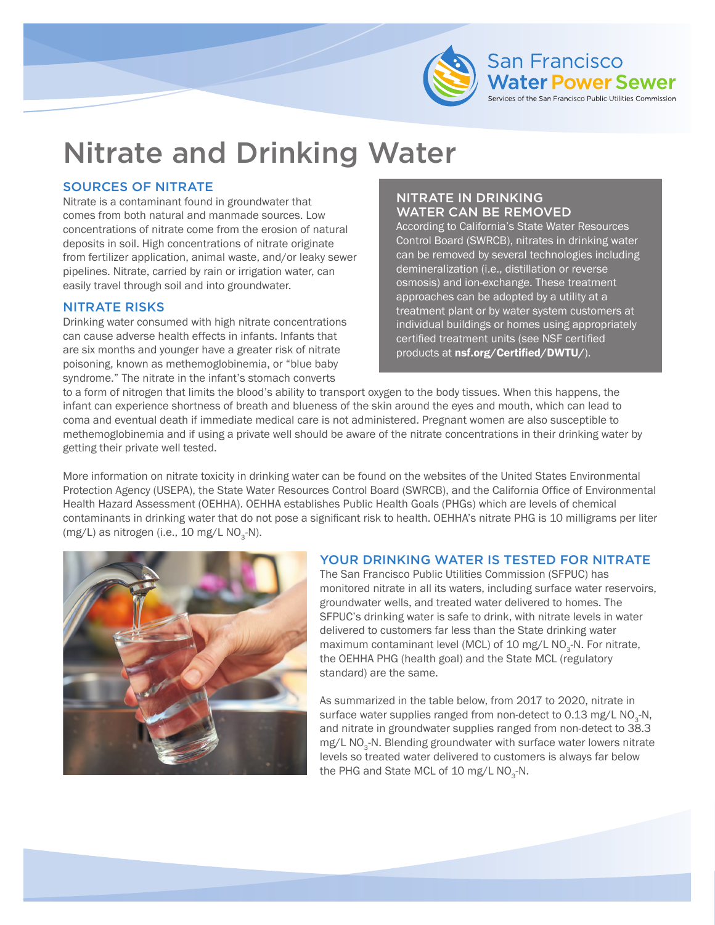

# Nitrate and Drinking Water

#### SOURCES OF NITRATE

Nitrate is a contaminant found in groundwater that comes from both natural and manmade sources. Low concentrations of nitrate come from the erosion of natural deposits in soil. High concentrations of nitrate originate from fertilizer application, animal waste, and/or leaky sewer pipelines. Nitrate, carried by rain or irrigation water, can easily travel through soil and into groundwater.

#### NITRATE RISKS

Drinking water consumed with high nitrate concentrations can cause adverse health effects in infants. Infants that are six months and younger have a greater risk of nitrate poisoning, known as methemoglobinemia, or "blue baby syndrome." The nitrate in the infant's stomach converts

## NITRATE IN DRINKING WATER CAN BE REMOVED

According to California's State Water Resources Control Board (SWRCB), nitrates in drinking water can be removed by several technologies including demineralization (i.e., distillation or reverse osmosis) and ion-exchange. These treatment approaches can be adopted by a utility at a treatment plant or by water system customers at individual buildings or homes using appropriately certified treatment units (see NSF certified products at [nsf.org/Certified/DWTU/](http://nsf.org/Certified/DWTU/)).

f the San Francisco Public Utilities Commission

to a form of nitrogen that limits the blood's ability to transport oxygen to the body tissues. When this happens, the infant can experience shortness of breath and blueness of the skin around the eyes and mouth, which can lead to coma and eventual death if immediate medical care is not administered. Pregnant women are also susceptible to methemoglobinemia and if using a private well should be aware of the nitrate concentrations in their drinking water by getting their private well tested.

More information on nitrate toxicity in drinking water can be found on the websites of the United States Environmental Protection Agency (USEPA), the State Water Resources Control Board (SWRCB), and the California Office of Environmental Health Hazard Assessment (OEHHA). OEHHA establishes Public Health Goals (PHGs) which are levels of chemical contaminants in drinking water that do not pose a significant risk to health. OEHHA's nitrate PHG is 10 milligrams per liter (mg/L) as nitrogen (i.e.,  $10 \text{ mg/L NO}_3\text{-N}$ ).



### YOUR DRINKING WATER IS TESTED FOR NITRATE

The San Francisco Public Utilities Commission (SFPUC) has monitored nitrate in all its waters, including surface water reservoirs, groundwater wells, and treated water delivered to homes. The SFPUC's drinking water is safe to drink, with nitrate levels in water delivered to customers far less than the State drinking water maximum contaminant level (MCL) of 10 mg/L NO<sub>3</sub>-N. For nitrate, the OEHHA PHG (health goal) and the State MCL (regulatory standard) are the same.

As summarized in the table below, from 2017 to 2020, nitrate in surface water supplies ranged from non-detect to  $0.13$  mg/L NO<sub>3</sub>-N, and nitrate in groundwater supplies ranged from non-detect to 38.3 mg/L NO<sub>3</sub>-N. Blending groundwater with surface water lowers nitrate levels so treated water delivered to customers is always far below the PHG and State MCL of 10 mg/L  $NO<sub>3</sub>-N$ .